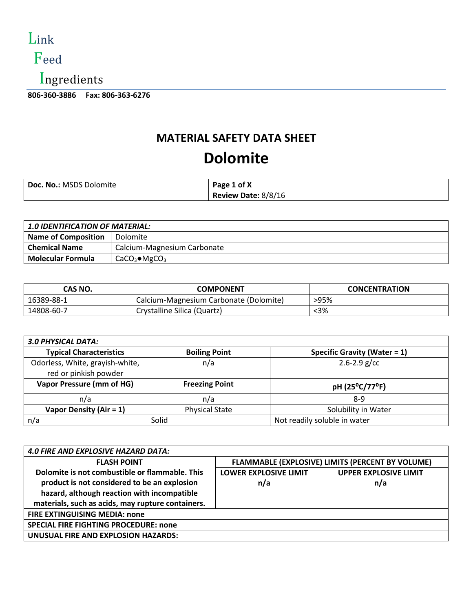

## Feed

Ingredients

**806-360-3886 Fax: 806-363-6276** 

### **MATERIAL SAFETY DATA SHEET**

## **Dolomite**

| <b>Doc. No.: MSDS Dolomite</b> | Page 1 of X         |
|--------------------------------|---------------------|
|                                | Review Date: 8/8/16 |

| <b>1.0 IDENTIFICATION OF MATERIAL:</b> |                             |  |
|----------------------------------------|-----------------------------|--|
| <b>Name of Composition</b>             | Dolomite                    |  |
| <b>Chemical Name</b>                   | Calcium-Magnesium Carbonate |  |
| <b>Molecular Formula</b>               | $CaCO3 \bullet MgCO3$       |  |

| CAS NO.    | <b>COMPONENT</b>                       | <b>CONCENTRATION</b> |
|------------|----------------------------------------|----------------------|
| 16389-88-1 | Calcium-Magnesium Carbonate (Dolomite) | >95%                 |
| 14808-60-7 | Crystalline Silica (Quartz)            | <3%                  |

| <b>3.0 PHYSICAL DATA:</b>                                |                       |                                 |
|----------------------------------------------------------|-----------------------|---------------------------------|
| <b>Typical Characteristics</b>                           | <b>Boiling Point</b>  | Specific Gravity (Water = $1$ ) |
| Odorless, White, grayish-white,<br>red or pinkish powder | n/a                   | $2.6 - 2.9$ g/cc                |
| Vapor Pressure (mm of HG)                                | <b>Freezing Point</b> | pH (25°C/77°F)                  |
| n/a                                                      | n/a                   | $8-9$                           |
| Vapor Density (Air = $1$ )                               | <b>Physical State</b> | Solubility in Water             |
| n/a                                                      | Solid                 | Not readily soluble in water    |

| <b>4.0 FIRE AND EXPLOSIVE HAZARD DATA:</b>        |                                                  |                              |
|---------------------------------------------------|--------------------------------------------------|------------------------------|
| <b>FLASH POINT</b>                                | FLAMMABLE (EXPLOSIVE) LIMITS (PERCENT BY VOLUME) |                              |
| Dolomite is not combustible or flammable. This    | <b>LOWER EXPLOSIVE LIMIT</b>                     | <b>UPPER EXPLOSIVE LIMIT</b> |
| product is not considered to be an explosion      | n/a                                              | n/a                          |
| hazard, although reaction with incompatible       |                                                  |                              |
| materials, such as acids, may rupture containers. |                                                  |                              |
| <b>FIRE EXTINGUISING MEDIA: none</b>              |                                                  |                              |
| <b>SPECIAL FIRE FIGHTING PROCEDURE: none</b>      |                                                  |                              |
| UNUSUAL FIRE AND EXPLOSION HAZARDS:               |                                                  |                              |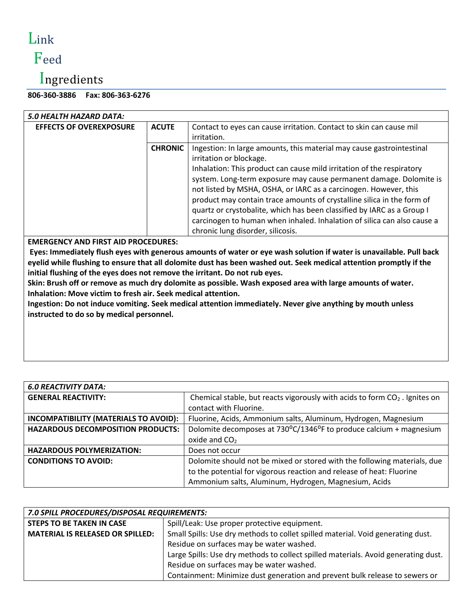# Link

## Feed

# Ingredients

### **806-360-3886 Fax: 806-363-6276**

| 5.0 HEALTH HAZARD DATA:                                                                                                                                                                                                                                                                                                                                                                                                                                                                                                                                                                                                                                                                                          |                |                                                                                                                                                                                                                                                                                                                                                                                                                                                                                                                                                                                         |
|------------------------------------------------------------------------------------------------------------------------------------------------------------------------------------------------------------------------------------------------------------------------------------------------------------------------------------------------------------------------------------------------------------------------------------------------------------------------------------------------------------------------------------------------------------------------------------------------------------------------------------------------------------------------------------------------------------------|----------------|-----------------------------------------------------------------------------------------------------------------------------------------------------------------------------------------------------------------------------------------------------------------------------------------------------------------------------------------------------------------------------------------------------------------------------------------------------------------------------------------------------------------------------------------------------------------------------------------|
| <b>EFFECTS OF OVEREXPOSURE</b>                                                                                                                                                                                                                                                                                                                                                                                                                                                                                                                                                                                                                                                                                   | <b>ACUTE</b>   | Contact to eyes can cause irritation. Contact to skin can cause mil<br>irritation.                                                                                                                                                                                                                                                                                                                                                                                                                                                                                                      |
|                                                                                                                                                                                                                                                                                                                                                                                                                                                                                                                                                                                                                                                                                                                  | <b>CHRONIC</b> | Ingestion: In large amounts, this material may cause gastrointestinal<br>irritation or blockage.<br>Inhalation: This product can cause mild irritation of the respiratory<br>system. Long-term exposure may cause permanent damage. Dolomite is<br>not listed by MSHA, OSHA, or IARC as a carcinogen. However, this<br>product may contain trace amounts of crystalline silica in the form of<br>quartz or crystobalite, which has been classified by IARC as a Group I<br>carcinogen to human when inhaled. Inhalation of silica can also cause a<br>chronic lung disorder, silicosis. |
| <b>EMERGENCY AND FIRST AID PROCEDURES:</b><br>Eyes: Immediately flush eyes with generous amounts of water or eye wash solution if water is unavailable. Pull back<br>eyelid while flushing to ensure that all dolomite dust has been washed out. Seek medical attention promptly if the<br>initial flushing of the eyes does not remove the irritant. Do not rub eyes.<br>Skin: Brush off or remove as much dry dolomite as possible. Wash exposed area with large amounts of water.<br>Inhalation: Move victim to fresh air. Seek medical attention.<br>Ingestion: Do not induce vomiting. Seek medical attention immediately. Never give anything by mouth unless<br>instructed to do so by medical personnel. |                |                                                                                                                                                                                                                                                                                                                                                                                                                                                                                                                                                                                         |

| <b>6.0 REACTIVITY DATA:</b>              |                                                                                                        |
|------------------------------------------|--------------------------------------------------------------------------------------------------------|
| <b>GENERAL REACTIVITY:</b>               | Chemical stable, but reacts vigorously with acids to form $CO2$ . Ignites on<br>contact with Fluorine. |
| INCOMPATIBILITY (MATERIALS TO AVOID):    | Fluorine, Acids, Ammonium salts, Aluminum, Hydrogen, Magnesium                                         |
| <b>HAZARDOUS DECOMPOSITION PRODUCTS:</b> | Dolomite decomposes at 730°C/1346°F to produce calcium + magnesium                                     |
|                                          | oxide and $CO2$                                                                                        |
| <b>HAZARDOUS POLYMERIZATION:</b>         | Does not occur                                                                                         |
| <b>CONDITIONS TO AVOID:</b>              | Dolomite should not be mixed or stored with the following materials, due                               |
|                                          | to the potential for vigorous reaction and release of heat: Fluorine                                   |
|                                          | Ammonium salts, Aluminum, Hydrogen, Magnesium, Acids                                                   |

| 7.0 SPILL PROCEDURES/DISPOSAL REQUIREMENTS: |                                                                                    |  |
|---------------------------------------------|------------------------------------------------------------------------------------|--|
| <b>STEPS TO BE TAKEN IN CASE</b>            | Spill/Leak: Use proper protective equipment.                                       |  |
| <b>MATERIAL IS RELEASED OR SPILLED:</b>     | Small Spills: Use dry methods to collet spilled material. Void generating dust.    |  |
|                                             | Residue on surfaces may be water washed.                                           |  |
|                                             | Large Spills: Use dry methods to collect spilled materials. Avoid generating dust. |  |
|                                             | Residue on surfaces may be water washed.                                           |  |
|                                             | Containment: Minimize dust generation and prevent bulk release to sewers or        |  |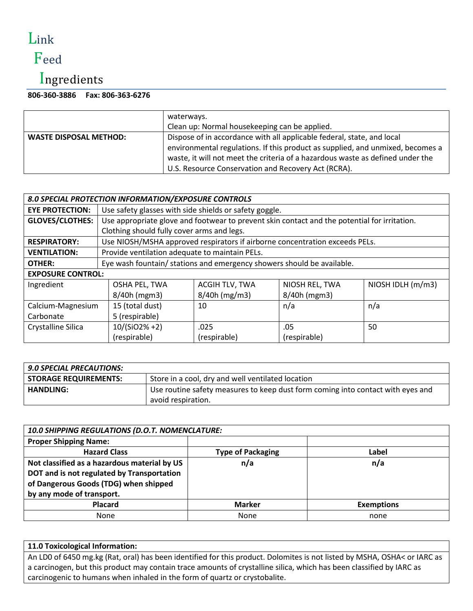# Link

## Feed

## Ingredients

| 806-360-3886    Fax: 806-363-6276 |
|-----------------------------------|
|                                   |

|                               | waterways.                                                                     |  |
|-------------------------------|--------------------------------------------------------------------------------|--|
|                               | Clean up: Normal housekeeping can be applied.                                  |  |
| <b>WASTE DISPOSAL METHOD:</b> | Dispose of in accordance with all applicable federal, state, and local         |  |
|                               | environmental regulations. If this product as supplied, and unmixed, becomes a |  |
|                               | waste, it will not meet the criteria of a hazardous waste as defined under the |  |
|                               | U.S. Resource Conservation and Recovery Act (RCRA).                            |  |

| 8.0 SPECIAL PROTECTION INFORMATION/EXPOSURE CONTROLS |                                                                                              |                                                |                |                   |
|------------------------------------------------------|----------------------------------------------------------------------------------------------|------------------------------------------------|----------------|-------------------|
| <b>EYE PROTECTION:</b>                               | Use safety glasses with side shields or safety goggle.                                       |                                                |                |                   |
| <b>GLOVES/CLOTHES:</b>                               | Use appropriate glove and footwear to prevent skin contact and the potential for irritation. |                                                |                |                   |
|                                                      | Clothing should fully cover arms and legs.                                                   |                                                |                |                   |
| <b>RESPIRATORY:</b>                                  | Use NIOSH/MSHA approved respirators if airborne concentration exceeds PELs.                  |                                                |                |                   |
| <b>VENTILATION:</b>                                  |                                                                                              | Provide ventilation adequate to maintain PELs. |                |                   |
| OTHER:                                               | Eye wash fountain/ stations and emergency showers should be available.                       |                                                |                |                   |
| <b>EXPOSURE CONTROL:</b>                             |                                                                                              |                                                |                |                   |
| Ingredient                                           | OSHA PEL, TWA                                                                                | ACGIH TLV, TWA                                 | NIOSH REL, TWA | NIOSH IDLH (m/m3) |
|                                                      | 8/40h (mgm3)                                                                                 | $8/40h$ (mg/m3)                                | 8/40h (mgm3)   |                   |
| Calcium-Magnesium                                    | 15 (total dust)<br>10<br>n/a<br>n/a                                                          |                                                |                |                   |
| Carbonate                                            | 5 (respirable)                                                                               |                                                |                |                   |
| Crystalline Silica                                   | 10/(SiO2%+2)                                                                                 | .025                                           | .05            | 50                |
|                                                      | (respirable)                                                                                 | (respirable)                                   | (respirable)   |                   |

| <b>9.0 SPECIAL PRECAUTIONS:</b> |                                                                                 |
|---------------------------------|---------------------------------------------------------------------------------|
| <b>STORAGE REQUIREMENTS:</b>    | Store in a cool, dry and well ventilated location                               |
| <b>HANDLING:</b>                | Use routine safety measures to keep dust form coming into contact with eyes and |
|                                 | avoid respiration.                                                              |

| 10.0 SHIPPING REGULATIONS (D.O.T. NOMENCLATURE: |                          |                   |
|-------------------------------------------------|--------------------------|-------------------|
| <b>Proper Shipping Name:</b>                    |                          |                   |
| <b>Hazard Class</b>                             | <b>Type of Packaging</b> | Label             |
| Not classified as a hazardous material by US    | n/a                      | n/a               |
| DOT and is not regulated by Transportation      |                          |                   |
| of Dangerous Goods (TDG) when shipped           |                          |                   |
| by any mode of transport.                       |                          |                   |
| <b>Placard</b>                                  | <b>Marker</b>            | <b>Exemptions</b> |
| <b>None</b>                                     | None                     | none              |

#### **11.0 Toxicological Information:**

An LD0 of 6450 mg.kg (Rat, oral) has been identified for this product. Dolomites is not listed by MSHA, OSHA< or IARC as a carcinogen, but this product may contain trace amounts of crystalline silica, which has been classified by IARC as carcinogenic to humans when inhaled in the form of quartz or crystobalite.